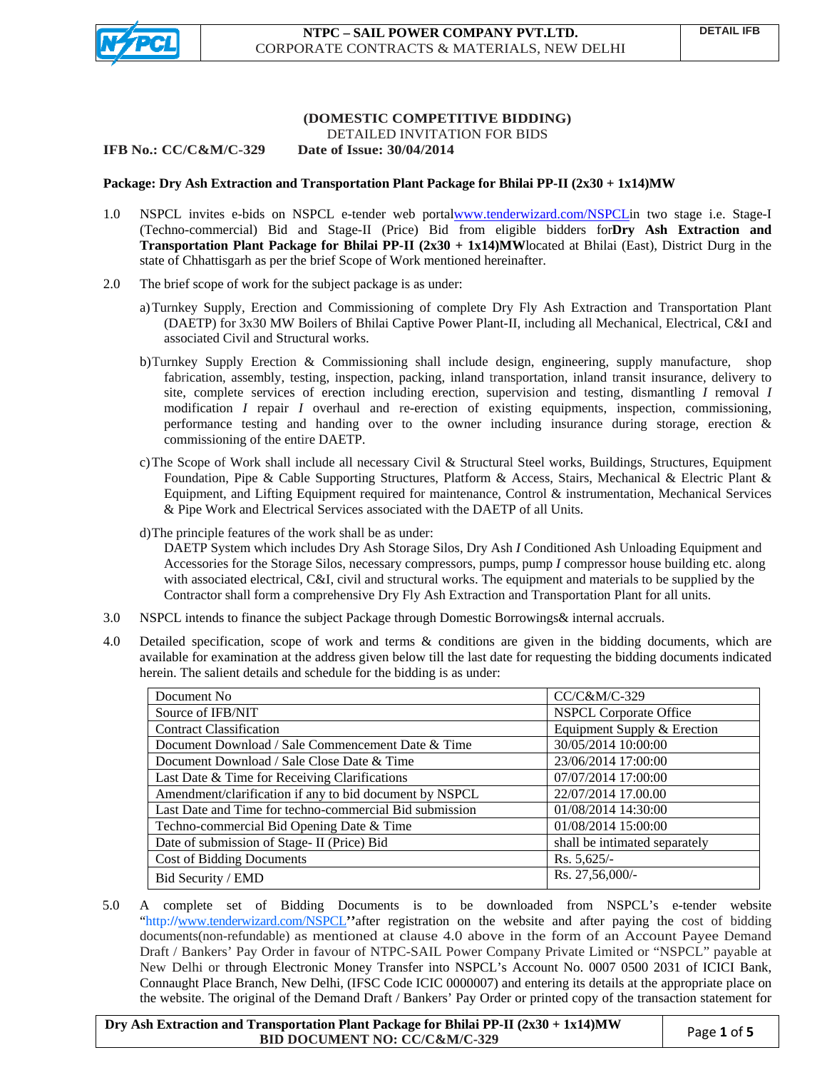

# **(DOMESTIC COMPETITIVE BIDDING)** DETAILED INVITATION FOR BIDS

#### **IFB No.: CC/C&M/C-329 Date of Issue: 30/04/2014**

## **Package: Dry Ash Extraction and Transportation Plant Package for Bhilai PP-II (2x30 + 1x14)MW**

- 1.0 NSPCL invites e-bids on NSPCL e-tender web porta[lwww.tenderwizard.com/NSPCL](http://www.tenderwizard.com/NSPCL)in two stage i.e. Stage-I (Techno-commercial) Bid and Stage-II (Price) Bid from eligible bidders for**Dry Ash Extraction and Transportation Plant Package for Bhilai PP-II (2x30 + 1x14)MW**located at Bhilai (East), District Durg in the state of Chhattisgarh as per the brief Scope of Work mentioned hereinafter.
- 2.0 The brief scope of work for the subject package is as under:
	- a)Turnkey Supply, Erection and Commissioning of complete Dry Fly Ash Extraction and Transportation Plant (DAETP) for 3x30 MW Boilers of Bhilai Captive Power Plant-II, including all Mechanical, Electrical, C&I and associated Civil and Structural works.
	- b)Turnkey Supply Erection & Commissioning shall include design, engineering, supply manufacture, shop fabrication, assembly, testing, inspection, packing, inland transportation, inland transit insurance, delivery to site, complete services of erection including erection, supervision and testing, dismantling *I* removal *I*  modification *I* repair *I* overhaul and re-erection of existing equipments, inspection, commissioning, performance testing and handing over to the owner including insurance during storage, erection & commissioning of the entire DAETP.
	- c)The Scope of Work shall include all necessary Civil & Structural Steel works, Buildings, Structures, Equipment Foundation, Pipe & Cable Supporting Structures, Platform & Access, Stairs, Mechanical & Electric Plant & Equipment, and Lifting Equipment required for maintenance, Control & instrumentation, Mechanical Services & Pipe Work and Electrical Services associated with the DAETP of all Units.
	- d)The principle features of the work shall be as under:

DAETP System which includes Dry Ash Storage Silos, Dry Ash *I* Conditioned Ash Unloading Equipment and Accessories for the Storage Silos, necessary compressors, pumps, pump *I* compressor house building etc. along with associated electrical, C&I, civil and structural works. The equipment and materials to be supplied by the Contractor shall form a comprehensive Dry Fly Ash Extraction and Transportation Plant for all units.

- 3.0 NSPCL intends to finance the subject Package through Domestic Borrowings& internal accruals.
- 4.0 Detailed specification, scope of work and terms & conditions are given in the bidding documents, which are available for examination at the address given below till the last date for requesting the bidding documents indicated herein. The salient details and schedule for the bidding is as under:

| Document No                                             | CC/C&M/C-329                  |
|---------------------------------------------------------|-------------------------------|
| Source of IFB/NIT                                       | <b>NSPCL Corporate Office</b> |
| <b>Contract Classification</b>                          | Equipment Supply & Erection   |
| Document Download / Sale Commencement Date & Time       | 30/05/2014 10:00:00           |
| Document Download / Sale Close Date & Time              | 23/06/2014 17:00:00           |
| Last Date & Time for Receiving Clarifications           | 07/07/2014 17:00:00           |
| Amendment/clarification if any to bid document by NSPCL | 22/07/2014 17.00.00           |
| Last Date and Time for techno-commercial Bid submission | 01/08/2014 14:30:00           |
| Techno-commercial Bid Opening Date & Time               | 01/08/2014 15:00:00           |
| Date of submission of Stage- II (Price) Bid             | shall be intimated separately |
| <b>Cost of Bidding Documents</b>                        | Rs. 5,625/-                   |
| Bid Security / EMD                                      | Rs. 27,56,000/-               |

5.0 A complete set of Bidding Documents is to be downloaded from NSPCL's e-tender website "[http:](http://www.tenderwizard.com/)//[www.tenderwizard.com/NSPCL](http://www.tenderwizard.com/NSPCL)<sup>\*</sup>after registration on the website and after paying the cost of bidding documents(non-refundable) as mentioned at clause 4.0 above in the form of an Account Payee Demand Draft / Bankers' Pay Order in favour of NTPC-SAIL Power Company Private Limited or "NSPCL" payable at New Delhi or through Electronic Money Transfer into NSPCL's Account No. 0007 0500 2031 of ICICI Bank, Connaught Place Branch, New Delhi, (IFSC Code ICIC 0000007) and entering its details at the appropriate place on the website. The original of the Demand Draft / Bankers' Pay Order or printed copy of the transaction statement for

**Dry Ash Extraction and Transportation Plant Package for Bhilai PP-II (2x30 + 1x14)MW BID DOCUMENT NO:** CC/C&M/C-329 Page 1 of 5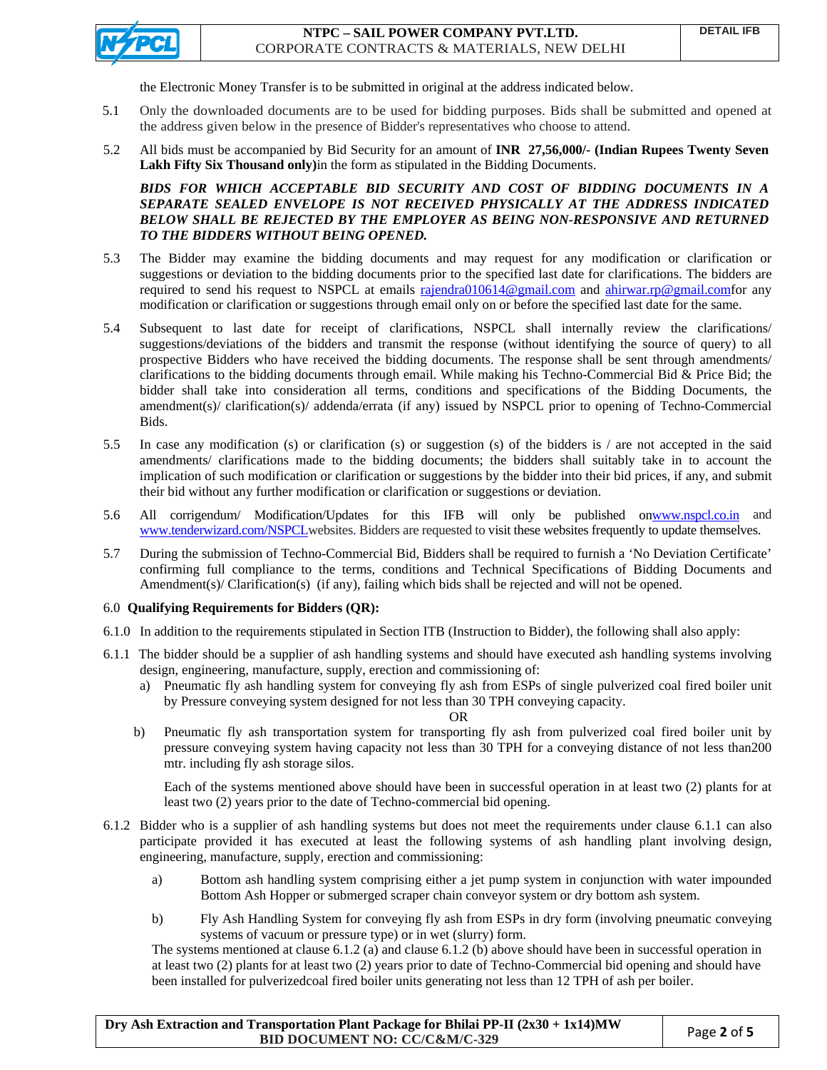

the Electronic Money Transfer is to be submitted in original at the address indicated below.

- 5.1 Only the downloaded documents are to be used for bidding purposes. Bids shall be submitted and opened at the address given below in the presence of Bidder's representatives who choose to attend.
- 5.2 All bids must be accompanied by Bid Security for an amount of **INR 27,56,000/- (Indian Rupees Twenty Seven Lakh Fifty Six Thousand only)**in the form as stipulated in the Bidding Documents.

*BIDS FOR WHICH ACCEPTABLE BID SECURITY AND COST OF BIDDING DOCUMENTS IN A SEPARATE SEALED ENVELOPE IS NOT RECEIVED PHYSICALLY AT THE ADDRESS INDICATED BELOW SHALL BE REJECTED BY THE EMPLOYER AS BEING NON-RESPONSIVE AND RETURNED TO THE BIDDERS WITHOUT BEING OPENED.* 

- 5.3 The Bidder may examine the bidding documents and may request for any modification or clarification or suggestions or deviation to the bidding documents prior to the specified last date for clarifications. The bidders are required to send his request to NSPCL at emails [rajendra010614@gmail.com](mailto:rajendra010614@gmail.com) and [ahirwar.rp@gmail.com](mailto:ahirwar.rp@gmail.com)for any modification or clarification or suggestions through email only on or before the specified last date for the same.
- 5.4 Subsequent to last date for receipt of clarifications, NSPCL shall internally review the clarifications/ suggestions/deviations of the bidders and transmit the response (without identifying the source of query) to all prospective Bidders who have received the bidding documents. The response shall be sent through amendments/ clarifications to the bidding documents through email. While making his Techno-Commercial Bid & Price Bid; the bidder shall take into consideration all terms, conditions and specifications of the Bidding Documents, the amendment(s)/ clarification(s)/ addenda/errata (if any) issued by NSPCL prior to opening of Techno-Commercial Bids.
- 5.5 In case any modification (s) or clarification (s) or suggestion (s) of the bidders is / are not accepted in the said amendments/ clarifications made to the bidding documents; the bidders shall suitably take in to account the implication of such modification or clarification or suggestions by the bidder into their bid prices, if any, and submit their bid without any further modification or clarification or suggestions or deviation.
- 5.6 All corrigendum/ Modification/Updates for this IFB will only be published o[nwww.nspcl.co.in](http://www.nspcl.co.in/) and [www.tenderwizard.com/NSPCL](http://www.tenderwizard.com/NSPCL)websites. Bidders are requested to visit these websites frequently to update themselves.
- 5.7 During the submission of Techno-Commercial Bid, Bidders shall be required to furnish a 'No Deviation Certificate' confirming full compliance to the terms, conditions and Technical Specifications of Bidding Documents and Amendment(s)/ Clarification(s) (if any), failing which bids shall be rejected and will not be opened.

# 6.0 **Qualifying Requirements for Bidders (QR):**

- 6.1.0 In addition to the requirements stipulated in Section ITB (Instruction to Bidder), the following shall also apply:
- 6.1.1 The bidder should be a supplier of ash handling systems and should have executed ash handling systems involving design, engineering, manufacture, supply, erection and commissioning of:
	- a) Pneumatic fly ash handling system for conveying fly ash from ESPs of single pulverized coal fired boiler unit by Pressure conveying system designed for not less than 30 TPH conveying capacity.

OR

b) Pneumatic fly ash transportation system for transporting fly ash from pulverized coal fired boiler unit by pressure conveying system having capacity not less than 30 TPH for a conveying distance of not less than200 mtr. including fly ash storage silos.

 Each of the systems mentioned above should have been in successful operation in at least two (2) plants for at least two (2) years prior to the date of Techno-commercial bid opening.

- 6.1.2 Bidder who is a supplier of ash handling systems but does not meet the requirements under clause 6.1.1 can also participate provided it has executed at least the following systems of ash handling plant involving design, engineering, manufacture, supply, erection and commissioning:
	- a) Bottom ash handling system comprising either a jet pump system in conjunction with water impounded Bottom Ash Hopper or submerged scraper chain conveyor system or dry bottom ash system.
	- b) Fly Ash Handling System for conveying fly ash from ESPs in dry form (involving pneumatic conveying systems of vacuum or pressure type) or in wet (slurry) form.

The systems mentioned at clause 6.1.2 (a) and clause 6.1.2 (b) above should have been in successful operation in at least two (2) plants for at least two (2) years prior to date of Techno-Commercial bid opening and should have been installed for pulverizedcoal fired boiler units generating not less than 12 TPH of ash per boiler.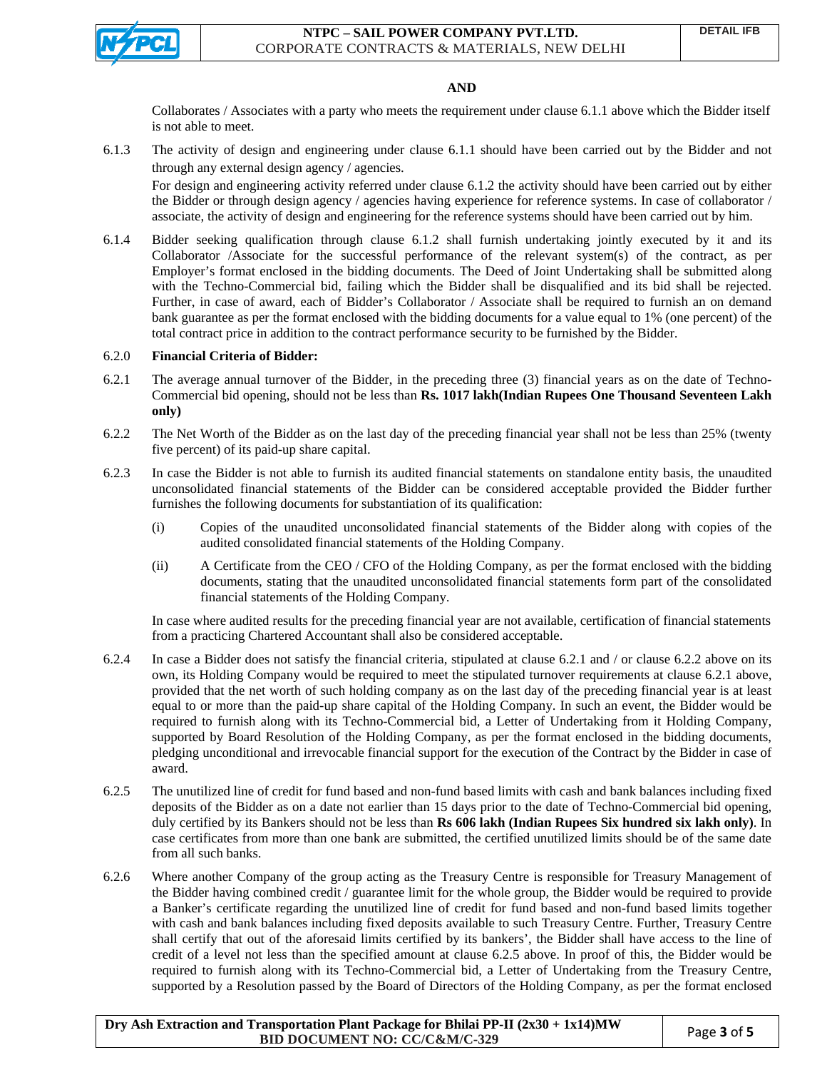

### **AND**

Collaborates / Associates with a party who meets the requirement under clause 6.1.1 above which the Bidder itself is not able to meet.

6.1.3 The activity of design and engineering under clause 6.1.1 should have been carried out by the Bidder and not through any external design agency / agencies.

For design and engineering activity referred under clause 6.1.2 the activity should have been carried out by either the Bidder or through design agency / agencies having experience for reference systems. In case of collaborator / associate, the activity of design and engineering for the reference systems should have been carried out by him.

6.1.4 Bidder seeking qualification through clause 6.1.2 shall furnish undertaking jointly executed by it and its Collaborator /Associate for the successful performance of the relevant system(s) of the contract, as per Employer's format enclosed in the bidding documents. The Deed of Joint Undertaking shall be submitted along with the Techno-Commercial bid, failing which the Bidder shall be disqualified and its bid shall be rejected. Further, in case of award, each of Bidder's Collaborator / Associate shall be required to furnish an on demand bank guarantee as per the format enclosed with the bidding documents for a value equal to 1% (one percent) of the total contract price in addition to the contract performance security to be furnished by the Bidder.

### 6.2.0 **Financial Criteria of Bidder:**

- 6.2.1 The average annual turnover of the Bidder, in the preceding three (3) financial years as on the date of Techno-Commercial bid opening, should not be less than **Rs. 1017 lakh(Indian Rupees One Thousand Seventeen Lakh only)**
- 6.2.2 The Net Worth of the Bidder as on the last day of the preceding financial year shall not be less than 25% (twenty five percent) of its paid-up share capital.
- 6.2.3 In case the Bidder is not able to furnish its audited financial statements on standalone entity basis, the unaudited unconsolidated financial statements of the Bidder can be considered acceptable provided the Bidder further furnishes the following documents for substantiation of its qualification:
	- (i) Copies of the unaudited unconsolidated financial statements of the Bidder along with copies of the audited consolidated financial statements of the Holding Company.
	- (ii) A Certificate from the CEO / CFO of the Holding Company, as per the format enclosed with the bidding documents, stating that the unaudited unconsolidated financial statements form part of the consolidated financial statements of the Holding Company.

In case where audited results for the preceding financial year are not available, certification of financial statements from a practicing Chartered Accountant shall also be considered acceptable.

- 6.2.4 In case a Bidder does not satisfy the financial criteria, stipulated at clause 6.2.1 and / or clause 6.2.2 above on its own, its Holding Company would be required to meet the stipulated turnover requirements at clause 6.2.1 above, provided that the net worth of such holding company as on the last day of the preceding financial year is at least equal to or more than the paid-up share capital of the Holding Company. In such an event, the Bidder would be required to furnish along with its Techno-Commercial bid, a Letter of Undertaking from it Holding Company, supported by Board Resolution of the Holding Company, as per the format enclosed in the bidding documents, pledging unconditional and irrevocable financial support for the execution of the Contract by the Bidder in case of award.
- 6.2.5 The unutilized line of credit for fund based and non-fund based limits with cash and bank balances including fixed deposits of the Bidder as on a date not earlier than 15 days prior to the date of Techno-Commercial bid opening, duly certified by its Bankers should not be less than **Rs 606 lakh (Indian Rupees Six hundred six lakh only)**. In case certificates from more than one bank are submitted, the certified unutilized limits should be of the same date from all such banks.
- 6.2.6 Where another Company of the group acting as the Treasury Centre is responsible for Treasury Management of the Bidder having combined credit / guarantee limit for the whole group, the Bidder would be required to provide a Banker's certificate regarding the unutilized line of credit for fund based and non-fund based limits together with cash and bank balances including fixed deposits available to such Treasury Centre. Further, Treasury Centre shall certify that out of the aforesaid limits certified by its bankers', the Bidder shall have access to the line of credit of a level not less than the specified amount at clause 6.2.5 above. In proof of this, the Bidder would be required to furnish along with its Techno-Commercial bid, a Letter of Undertaking from the Treasury Centre, supported by a Resolution passed by the Board of Directors of the Holding Company, as per the format enclosed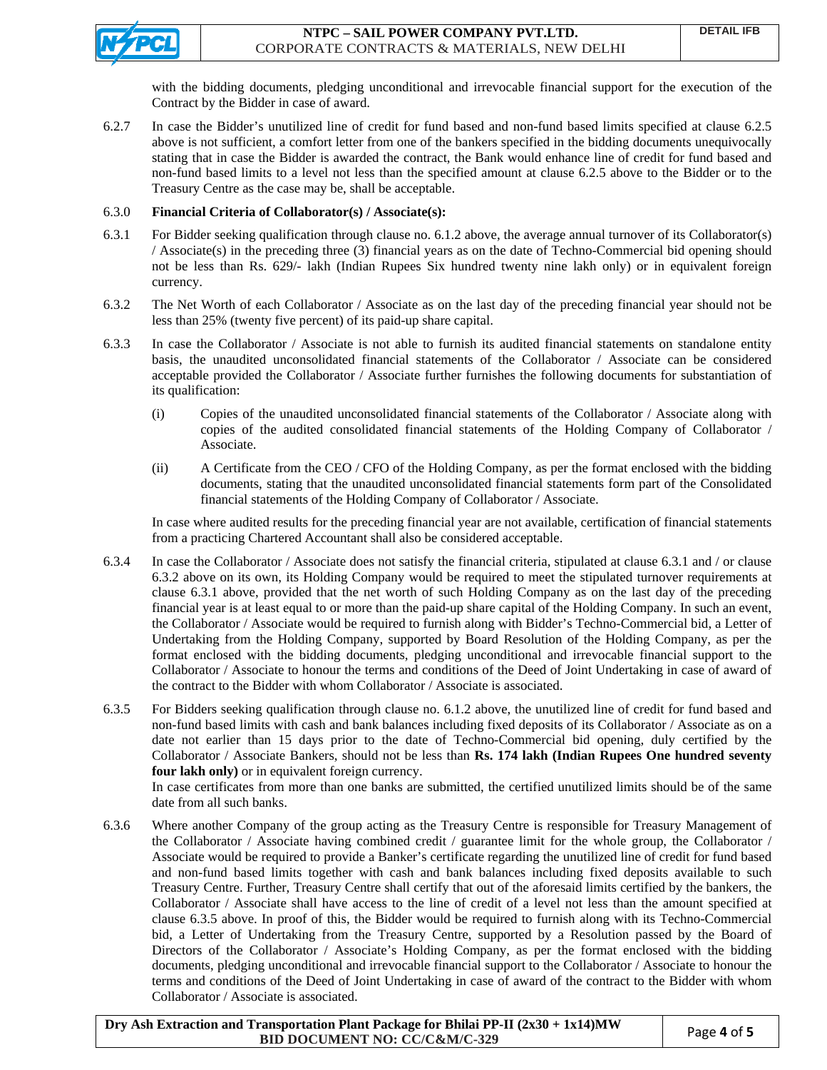

with the bidding documents, pledging unconditional and irrevocable financial support for the execution of the Contract by the Bidder in case of award.

6.2.7 In case the Bidder's unutilized line of credit for fund based and non-fund based limits specified at clause 6.2.5 above is not sufficient, a comfort letter from one of the bankers specified in the bidding documents unequivocally stating that in case the Bidder is awarded the contract, the Bank would enhance line of credit for fund based and non-fund based limits to a level not less than the specified amount at clause 6.2.5 above to the Bidder or to the Treasury Centre as the case may be, shall be acceptable.

## 6.3.0 **Financial Criteria of Collaborator(s) / Associate(s):**

- 6.3.1 For Bidder seeking qualification through clause no. 6.1.2 above, the average annual turnover of its Collaborator(s) / Associate(s) in the preceding three (3) financial years as on the date of Techno-Commercial bid opening should not be less than Rs. 629/- lakh (Indian Rupees Six hundred twenty nine lakh only) or in equivalent foreign currency.
- 6.3.2 The Net Worth of each Collaborator / Associate as on the last day of the preceding financial year should not be less than 25% (twenty five percent) of its paid-up share capital.
- 6.3.3 In case the Collaborator / Associate is not able to furnish its audited financial statements on standalone entity basis, the unaudited unconsolidated financial statements of the Collaborator / Associate can be considered acceptable provided the Collaborator / Associate further furnishes the following documents for substantiation of its qualification:
	- (i) Copies of the unaudited unconsolidated financial statements of the Collaborator / Associate along with copies of the audited consolidated financial statements of the Holding Company of Collaborator / Associate.
	- (ii) A Certificate from the CEO / CFO of the Holding Company, as per the format enclosed with the bidding documents, stating that the unaudited unconsolidated financial statements form part of the Consolidated financial statements of the Holding Company of Collaborator / Associate.

In case where audited results for the preceding financial year are not available, certification of financial statements from a practicing Chartered Accountant shall also be considered acceptable.

- 6.3.4 In case the Collaborator / Associate does not satisfy the financial criteria, stipulated at clause 6.3.1 and / or clause 6.3.2 above on its own, its Holding Company would be required to meet the stipulated turnover requirements at clause 6.3.1 above, provided that the net worth of such Holding Company as on the last day of the preceding financial year is at least equal to or more than the paid-up share capital of the Holding Company. In such an event, the Collaborator / Associate would be required to furnish along with Bidder's Techno-Commercial bid, a Letter of Undertaking from the Holding Company, supported by Board Resolution of the Holding Company, as per the format enclosed with the bidding documents, pledging unconditional and irrevocable financial support to the Collaborator / Associate to honour the terms and conditions of the Deed of Joint Undertaking in case of award of the contract to the Bidder with whom Collaborator / Associate is associated.
- 6.3.5 For Bidders seeking qualification through clause no. 6.1.2 above, the unutilized line of credit for fund based and non-fund based limits with cash and bank balances including fixed deposits of its Collaborator / Associate as on a date not earlier than 15 days prior to the date of Techno-Commercial bid opening, duly certified by the Collaborator / Associate Bankers, should not be less than **Rs. 174 lakh (Indian Rupees One hundred seventy four lakh only)** or in equivalent foreign currency.

 In case certificates from more than one banks are submitted, the certified unutilized limits should be of the same date from all such banks.

6.3.6 Where another Company of the group acting as the Treasury Centre is responsible for Treasury Management of the Collaborator / Associate having combined credit / guarantee limit for the whole group, the Collaborator / Associate would be required to provide a Banker's certificate regarding the unutilized line of credit for fund based and non-fund based limits together with cash and bank balances including fixed deposits available to such Treasury Centre. Further, Treasury Centre shall certify that out of the aforesaid limits certified by the bankers, the Collaborator / Associate shall have access to the line of credit of a level not less than the amount specified at clause 6.3.5 above. In proof of this, the Bidder would be required to furnish along with its Techno-Commercial bid, a Letter of Undertaking from the Treasury Centre, supported by a Resolution passed by the Board of Directors of the Collaborator / Associate's Holding Company, as per the format enclosed with the bidding documents, pledging unconditional and irrevocable financial support to the Collaborator / Associate to honour the terms and conditions of the Deed of Joint Undertaking in case of award of the contract to the Bidder with whom Collaborator / Associate is associated.

**Dry Ash Extraction and Transportation Plant Package for Bhilai PP-II (2x30 + 1x14)MW BID DOCUMENT NO:** CC/C&M/C-329